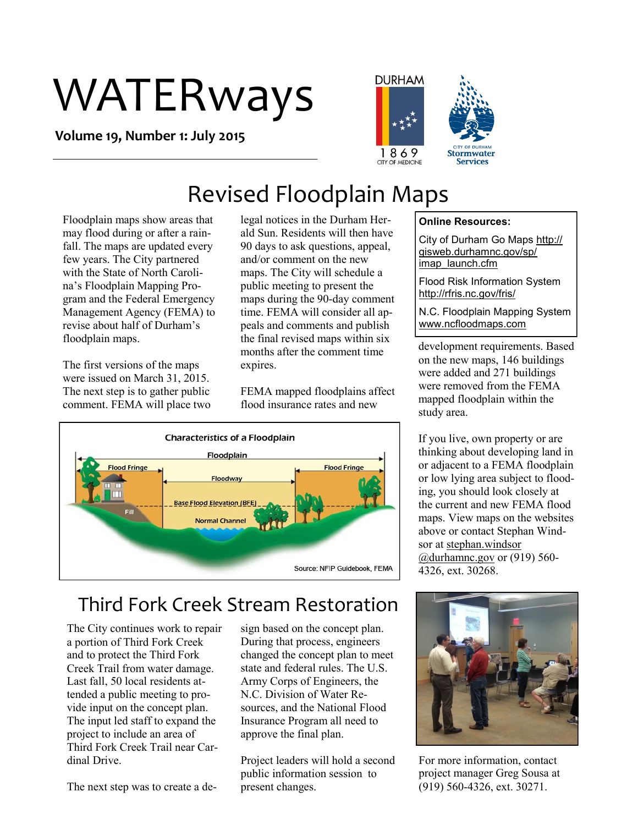# WATERways

**Volume 19, Number 1: July 2015**



# Revised Floodplain Maps

Floodplain maps show areas that may flood during or after a rainfall. The maps are updated every few years. The City partnered with the State of North Carolina's Floodplain Mapping Program and the Federal Emergency Management Agency (FEMA) to revise about half of Durham's floodplain maps.

The first versions of the maps were issued on March 31, 2015. The next step is to gather public comment. FEMA will place two legal notices in the Durham Herald Sun. Residents will then have 90 days to ask questions, appeal, and/or comment on the new maps. The City will schedule a public meeting to present the maps during the 90-day comment time. FEMA will consider all appeals and comments and publish the final revised maps within six months after the comment time expires.

FEMA mapped floodplains affect flood insurance rates and new



### Third Fork Creek Stream Restoration

The City continues work to repair a portion of Third Fork Creek and to protect the Third Fork Creek Trail from water damage. Last fall, 50 local residents attended a public meeting to provide input on the concept plan. The input led staff to expand the project to include an area of Third Fork Creek Trail near Cardinal Drive.

The next step was to create a de-

sign based on the concept plan. During that process, engineers changed the concept plan to meet state and federal rules. The U.S. Army Corps of Engineers, the N.C. Division of Water Resources, and the National Flood Insurance Program all need to approve the final plan.

Project leaders will hold a second public information session to present changes.

#### **Online Resources:**

City of Durham Go Maps [http://](http://gisweb.durhamnc.gov/sp/imap_launch.cfm) [gisweb.durhamnc.gov/sp/](http://gisweb.durhamnc.gov/sp/imap_launch.cfm) [imap\\_launch.cfm](http://gisweb.durhamnc.gov/sp/imap_launch.cfm)

Flood Risk Information System <http://rfris.nc.gov/fris/>

N.C. Floodplain Mapping System [www.ncfloodmaps.com](http://www.ncfloodmaps.com/)

development requirements. Based on the new maps, 146 buildings were added and 271 buildings were removed from the FEMA mapped floodplain within the study area.

If you live, own property or are thinking about developing land in or adjacent to a FEMA floodplain or low lying area subject to flooding, you should look closely at the current and new FEMA flood maps. View maps on the websites above or contact Stephan Windsor at [stephan.windsor](mailto:stephan.windsor@durham.gov)  [@durhamnc.gov](mailto:stephan.windsor@durham.gov) or (919) 560- 4326, ext. 30268.



For more information, contact project manager Greg Sousa at (919) 560-4326, ext. 30271.